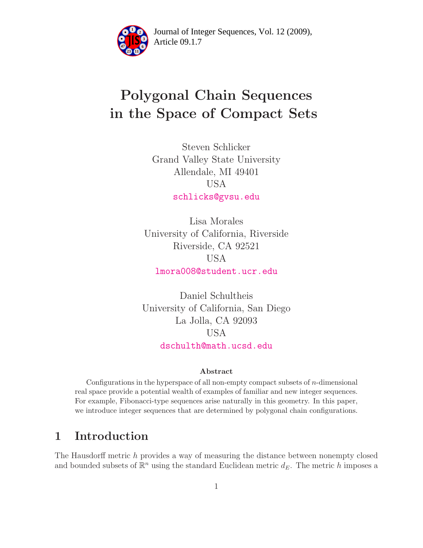

Article 09.1.7 **<sup>2</sup>** Journal of Integer Sequences, Vol. 12 (2009),

## Polygonal Chain Sequences in the Space of Compact Sets

Steven Schlicker Grand Valley State University Allendale, MI 49401 USA [schlicks@gvsu.edu](mailto:schlicks@gvsu.edu)

Lisa Morales University of California, Riverside Riverside, CA 92521 USA [lmora008@student.ucr.edu](mailto:lmora008@student.ucr.edu)

Daniel Schultheis University of California, San Diego La Jolla, CA 92093 USA [dschulth@math.ucsd.edu](mailto:dschulth@math.ucsd.edu)

#### Abstract

Configurations in the hyperspace of all non-empty compact subsets of n-dimensional real space provide a potential wealth of examples of familiar and new integer sequences. For example, Fibonacci-type sequences arise naturally in this geometry. In this paper, we introduce integer sequences that are determined by polygonal chain configurations.

## 1 Introduction

The Hausdorff metric h provides a way of measuring the distance between nonempty closed and bounded subsets of  $\mathbb{R}^n$  using the standard Euclidean metric  $d_E$ . The metric h imposes a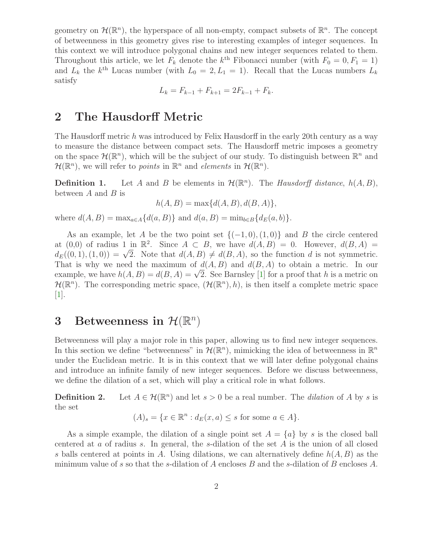geometry on  $\mathcal{H}(\mathbb{R}^n)$ , the hyperspace of all non-empty, compact subsets of  $\mathbb{R}^n$ . The concept of betweenness in this geometry gives rise to interesting examples of integer sequences. In this context we will introduce polygonal chains and new integer sequences related to them. Throughout this article, we let  $F_k$  denote the  $k^{\text{th}}$  Fibonacci number (with  $F_0 = 0, F_1 = 1$ ) and  $L_k$  the  $k^{\text{th}}$  Lucas number (with  $L_0 = 2, L_1 = 1$ ). Recall that the Lucas numbers  $L_k$ satisfy

$$
L_k = F_{k-1} + F_{k+1} = 2F_{k-1} + F_k.
$$

## 2 The Hausdorff Metric

The Hausdorff metric h was introduced by Felix Hausdorff in the early 20th century as a way to measure the distance between compact sets. The Hausdorff metric imposes a geometry on the space  $\mathcal{H}(\mathbb{R}^n)$ , which will be the subject of our study. To distinguish between  $\mathbb{R}^n$  and  $\mathcal{H}(\mathbb{R}^n)$ , we will refer to *points* in  $\mathbb{R}^n$  and *elements* in  $\mathcal{H}(\mathbb{R}^n)$ .

**Definition 1.** Let A and B be elements in  $\mathcal{H}(\mathbb{R}^n)$ . The Hausdorff distance,  $h(A, B)$ , between  $A$  and  $B$  is

$$
h(A, B) = \max\{d(A, B), d(B, A)\},\
$$

where  $d(A, B) = \max_{a \in A} \{d(a, B)\}\$  and  $d(a, B) = \min_{b \in B} \{d_E(a, b)\}\.$ 

As an example, let A be the two point set  ${(-1,0),(1,0)}$  and B the circle centered at (0,0) of radius 1 in  $\mathbb{R}^2$ . Since  $A \subset B$ , we have  $d(A, B) = 0$ . However,  $d(B, A) =$  $d_E((0,1),(1,0)) = \sqrt{2}$ . Note that  $d(A, B) \neq d(B, A)$ , so the function d is not symmetric. That is why we need the maximum of  $d(A, B)$  and  $d(B, A)$  to obtain a metric. In our example, we have  $h(A, B) = d(B, A) = \sqrt{2}$ . See Barnsley [\[1\]](#page-21-0) for a proof that h is a metric on  $\mathcal{H}(\mathbb{R}^n)$ . The corresponding metric space,  $(\mathcal{H}(\mathbb{R}^n), h)$ , is then itself a complete metric space [\[1\]](#page-21-0).

# 3 Betweenness in  $\mathcal{H}(\mathbb{R}^n)$

Betweenness will play a major role in this paper, allowing us to find new integer sequences. In this section we define "betweenness" in  $\mathcal{H}(\mathbb{R}^n)$ , mimicking the idea of betweenness in  $\mathbb{R}^n$ under the Euclidean metric. It is in this context that we will later define polygonal chains and introduce an infinite family of new integer sequences. Before we discuss betweenness, we define the dilation of a set, which will play a critical role in what follows.

**Definition 2.** Let  $A \in \mathcal{H}(\mathbb{R}^n)$  and let  $s > 0$  be a real number. The *dilation* of A by s is the set

$$
(A)_s = \{ x \in \mathbb{R}^n : d_E(x, a) \le s \text{ for some } a \in A \}.
$$

As a simple example, the dilation of a single point set  $A = \{a\}$  by s is the closed ball centered at  $a$  of radius  $s$ . In general, the  $s$ -dilation of the set  $A$  is the union of all closed s balls centered at points in A. Using dilations, we can alternatively define  $h(A, B)$  as the minimum value of s so that the s-dilation of A encloses B and the s-dilation of B encloses A.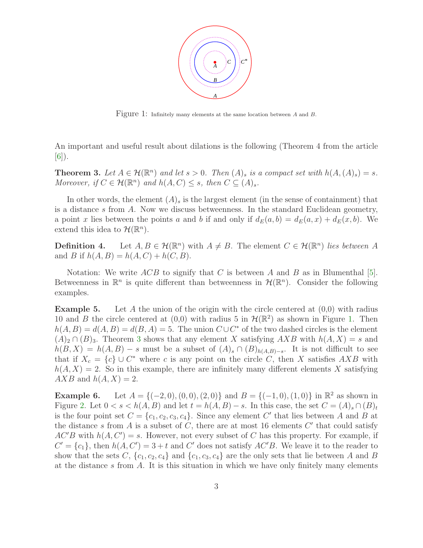

<span id="page-2-0"></span>Figure 1: Infinitely many elements at the same location between <sup>A</sup> and <sup>B</sup>.

<span id="page-2-1"></span>An important and useful result about dilations is the following (Theorem 4 from the article  $[6]$ .

**Theorem 3.** Let  $A \in \mathcal{H}(\mathbb{R}^n)$  and let  $s > 0$ . Then  $(A)_s$  is a compact set with  $h(A, (A)_s) = s$ . Moreover, if  $C \in \mathcal{H}(\mathbb{R}^n)$  and  $h(A, C) \leq s$ , then  $C \subseteq (A)_s$ .

In other words, the element  $(A)_s$  is the largest element (in the sense of containment) that is a distance s from A. Now we discuss betweenness. In the standard Euclidean geometry, a point x lies between the points a and b if and only if  $d_E(a, b) = d_E(a, x) + d_E(x, b)$ . We extend this idea to  $\mathcal{H}(\mathbb{R}^n)$ .

**Definition 4.** Let  $A, B \in \mathcal{H}(\mathbb{R}^n)$  with  $A \neq B$ . The element  $C \in \mathcal{H}(\mathbb{R}^n)$  lies between A and B if  $h(A, B) = h(A, C) + h(C, B)$ .

Notation: We write  $ACB$  to signify that C is between A and B as in Blumenthal [\[5\]](#page-21-2). Betweenness in  $\mathbb{R}^n$  is quite different than betweenness in  $\mathcal{H}(\mathbb{R}^n)$ . Consider the following examples.

<span id="page-2-2"></span>**Example 5.** Let A the union of the origin with the circle centered at  $(0,0)$  with radius 10 and B the circle centered at  $(0,0)$  with radius 5 in  $\mathcal{H}(\mathbb{R}^2)$  as shown in Figure [1.](#page-2-0) Then  $h(A, B) = d(A, B) = d(B, A) = 5$ . The union  $C \cup C^*$  of the two dashed circles is the element  $(A)_2 \cap (B)_3$  $(A)_2 \cap (B)_3$ . Theorem 3 shows that any element X satisfying AXB with  $h(A, X) = s$  and  $h(B, X) = h(A, B) - s$  must be a subset of  $(A)_s \cap (B)_{h(A,B)-s}$ . It is not difficult to see that if  $X_c = \{c\} \cup C^*$  where c is any point on the circle C, then X satisfies  $AXB$  with  $h(A, X) = 2$ . So in this example, there are infinitely many different elements X satisfying  $AXB$  and  $h(A, X) = 2$ .

<span id="page-2-3"></span>**Example 6.** Let  $A = \{(-2, 0), (0, 0), (2, 0)\}$  and  $B = \{(-1, 0), (1, 0)\}$  in  $\mathbb{R}^2$  as shown in Figure [2.](#page-3-0) Let  $0 < s < h(A, B)$  and let  $t = h(A, B) - s$ . In this case, the set  $C = (A)_s \cap (B)_t$ is the four point set  $C = \{c_1, c_2, c_3, c_4\}$ . Since any element C' that lies between A and B at the distance s from A is a subset of C, there are at most 16 elements  $C'$  that could satisfy  $AC'B$  with  $h(A, C') = s$ . However, not every subset of C has this property. For example, if  $C' = \{c_1\}$ , then  $h(A, C') = 3 + t$  and C' does not satisfy AC'B. We leave it to the reader to show that the sets C,  $\{c_1, c_2, c_4\}$  and  $\{c_1, c_3, c_4\}$  are the only sets that lie between A and B at the distance s from  $A$ . It is this situation in which we have only finitely many elements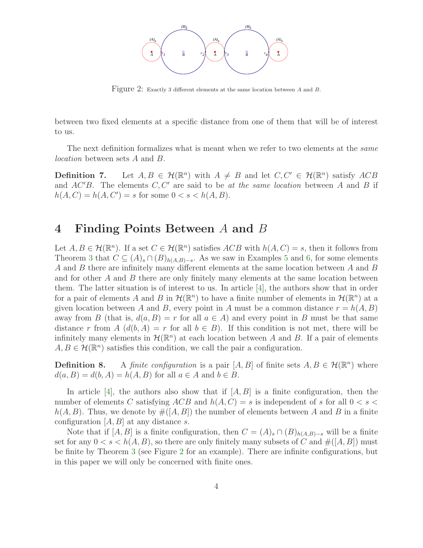

<span id="page-3-0"></span>Figure 2: Exactly 3 different elements at the same location between <sup>A</sup> and <sup>B</sup>.

between two fixed elements at a specific distance from one of them that will be of interest to us.

The next definition formalizes what is meant when we refer to two elements at the *same* location between sets A and B.

**Definition 7.** Let  $A, B \in \mathcal{H}(\mathbb{R}^n)$  with  $A \neq B$  and let  $C, C' \in \mathcal{H}(\mathbb{R}^n)$  satisfy  $ACB$ and  $AC'B$ . The elements  $C, C'$  are said to be at the same location between A and B if  $h(A, C) = h(A, C') = s$  for some  $0 < s < h(A, B)$ .

#### 4 Finding Points Between A and B

Let  $A, B \in \mathcal{H}(\mathbb{R}^n)$ . If a set  $C \in \mathcal{H}(\mathbb{R}^n)$  satisfies  $ACB$  with  $h(A, C) = s$ , then it follows from Theorem [3](#page-2-1) that  $C \subseteq (A)_s \cap (B)_{h(A,B)-s}$ . As we saw in Examples [5](#page-2-2) and [6,](#page-2-3) for some elements A and B there are infinitely many different elements at the same location between A and B and for other A and B there are only finitely many elements at the same location between them. The latter situation is of interest to us. In article [\[4\]](#page-21-3), the authors show that in order for a pair of elements A and B in  $\mathcal{H}(\mathbb{R}^n)$  to have a finite number of elements in  $\mathcal{H}(\mathbb{R}^n)$  at a given location between A and B, every point in A must be a common distance  $r = h(A, B)$ away from B (that is,  $d(a, B) = r$  for all  $a \in A$ ) and every point in B must be that same distance r from A  $(d(b, A) = r$  for all  $b \in B)$ . If this condition is not met, there will be infinitely many elements in  $\mathcal{H}(\mathbb{R}^n)$  at each location between A and B. If a pair of elements  $A, B \in \mathcal{H}(\mathbb{R}^n)$  satisfies this condition, we call the pair a configuration.

**Definition 8.** A finite configuration is a pair  $[A, B]$  of finite sets  $A, B \in \mathcal{H}(\mathbb{R}^n)$  where  $d(a, B) = d(b, A) = h(A, B)$  for all  $a \in A$  and  $b \in B$ .

In article [\[4\]](#page-21-3), the authors also show that if  $[A, B]$  is a finite configuration, then the number of elements C satisfying  $ACB$  and  $h(A, C) = s$  is independent of s for all  $0 < s <$  $h(A, B)$ . Thus, we denote by  $\#([A, B])$  the number of elements between A and B in a finite configuration  $[A, B]$  at any distance s.

Note that if  $[A, B]$  is a finite configuration, then  $C = (A)_s \cap (B)_{h(A,B)-s}$  will be a finite set for any  $0 < s < h(A, B)$ , so there are only finitely many subsets of C and  $\#([A, B])$  must be finite by Theorem [3](#page-2-1) (see Figure [2](#page-3-0) for an example). There are infinite configurations, but in this paper we will only be concerned with finite ones.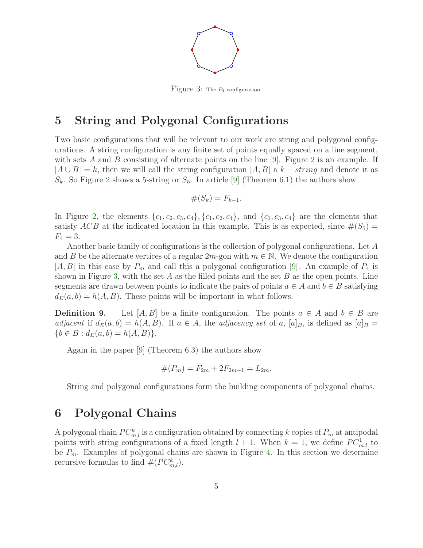

<span id="page-4-0"></span>Figure 3: The  $P_4$  configuration.

## 5 String and Polygonal Configurations

Two basic configurations that will be relevant to our work are string and polygonal configurations. A string configuration is any finite set of points equally spaced on a line segment, with sets A and B consisting of alternate points on the line  $[9]$ . Figure [2](#page-3-0) is an example. If  $|A \cup B| = k$ , then we will call the string configuration  $[A, B]$  a  $k - string$  and denote it as  $S_k$ . So Figure [2](#page-3-0) shows a 5-string or  $S_5$ . In article [\[9\]](#page-21-4) (Theorem 6.1) the authors show

$$
\#(S_k)=F_{k-1}.
$$

In Figure [2,](#page-3-0) the elements  $\{c_1, c_2, c_3, c_4\}$ ,  $\{c_1, c_2, c_4\}$ , and  $\{c_1, c_3, c_4\}$  are the elements that satisfy ACB at the indicated location in this example. This is as expected, since  $\#(S_5) =$  $F_4 = 3.$ 

Another basic family of configurations is the collection of polygonal configurations. Let A and B be the alternate vertices of a regular  $2m$ -gon with  $m \in \mathbb{N}$ . We denote the configuration  $[A, B]$  in this case by  $P_m$  and call this a polygonal configuration [\[9\]](#page-21-4). An example of  $P_4$  is shown in Figure [3,](#page-4-0) with the set  $A$  as the filled points and the set  $B$  as the open points. Line segments are drawn between points to indicate the pairs of points  $a \in A$  and  $b \in B$  satisfying  $d_E(a, b) = h(A, B)$ . These points will be important in what follows.

**Definition 9.** Let  $[A, B]$  be a finite configuration. The points  $a \in A$  and  $b \in B$  are adjacent if  $d_E(a, b) = h(A, B)$ . If  $a \in A$ , the adjacency set of a,  $[a]_B$ , is defined as  $[a]_B =$  ${b \in B : d_E(a, b) = h(A, B)}.$ 

Again in the paper [\[9\]](#page-21-4) (Theorem 6.3) the authors show

$$
#(P_m) = F_{2m} + 2F_{2m-1} = L_{2m}.
$$

String and polygonal configurations form the building components of polygonal chains.

## 6 Polygonal Chains

A polygonal chain  $PC_{m,l}^k$  is a configuration obtained by connecting k copies of  $P_m$  at antipodal points with string configurations of a fixed length  $l + 1$ . When  $k = 1$ , we define  $PC_{m,l}^1$  to be  $P_m$ . Examples of polygonal chains are shown in Figure [4.](#page-5-0) In this section we determine recursive formulas to find  $#(PC^k_{m,l}).$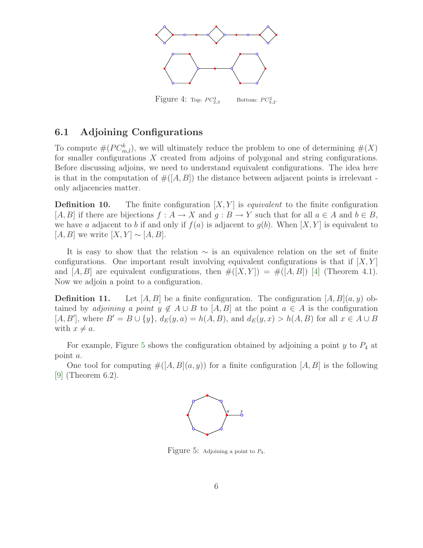

<span id="page-5-0"></span>Figure 4: Top:  $PC_{2,3}^3$  $^{3}_{2,3}$  Bottom:  $PC_{3,2}^{2}$ .

#### 6.1 Adjoining Configurations

To compute  $\#(PC^k_{m,l})$ , we will ultimately reduce the problem to one of determining  $\#(X)$ for smaller configurations X created from adjoins of polygonal and string configurations. Before discussing adjoins, we need to understand equivalent configurations. The idea here is that in the computation of  $#([A, B])$  the distance between adjacent points is irrelevant only adjacencies matter.

**Definition 10.** The finite configuration  $[X, Y]$  is *equivalent* to the finite configuration [A, B] if there are bijections  $f : A \to X$  and  $g : B \to Y$  such that for all  $a \in A$  and  $b \in B$ , we have a adjacent to b if and only if  $f(a)$  is adjacent to  $g(b)$ . When  $[X, Y]$  is equivalent to  $[A, B]$  we write  $[X, Y] \sim [A, B]$ .

It is easy to show that the relation  $\sim$  is an equivalence relation on the set of finite configurations. One important result involving equivalent configurations is that if  $[X, Y]$ and  $[A, B]$  are equivalent configurations, then  $\#([X, Y]) = \#([A, B])$  [\[4\]](#page-21-3) (Theorem 4.1). Now we adjoin a point to a configuration.

**Definition 11.** Let [A, B] be a finite configuration. The configuration [A, B](a, y) obtained by *adjoining a point y*  $\notin A \cup B$  to  $[A, B]$  at the point  $a \in A$  is the configuration  $[A, B'],$  where  $B' = B \cup \{y\}, d_E(y, a) = h(A, B)$ , and  $d_E(y, x) > h(A, B)$  for all  $x \in A \cup B$ with  $x \neq a$ .

For example, Figure [5](#page-5-1) shows the configuration obtained by adjoining a point  $y$  to  $P_4$  at point a.

<span id="page-5-2"></span>One tool for computing  $\#([A, B](a, y))$  for a finite configuration  $[A, B]$  is the following [\[9\]](#page-21-4) (Theorem 6.2).



<span id="page-5-1"></span>Figure 5: Adjoining a point to  $P_4$ .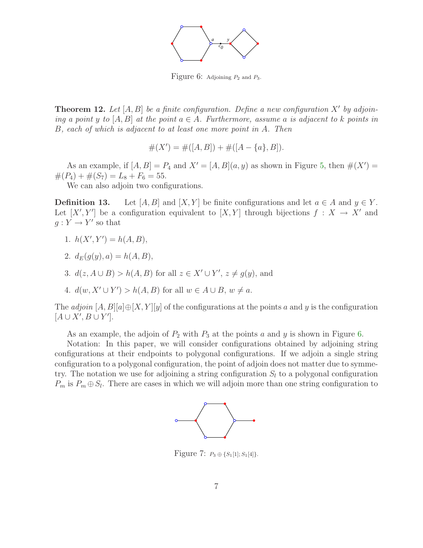

<span id="page-6-0"></span>Figure 6: Adjoining  $P_2$  and  $P_3$ .

**Theorem 12.** Let  $[A, B]$  be a finite configuration. Define a new configuration X' by adjoining a point y to  $[A, B]$  at the point  $a \in A$ . Furthermore, assume a is adjacent to k points in B, each of which is adjacent to at least one more point in A. Then

$$
#(X') = #([A, B]) + #([A - {a}, B]).
$$

As an example, if  $[A, B] = P_4$  and  $X' = [A, B](a, y)$  as shown in Figure [5,](#page-5-1) then  $\#(X') =$  $#(P_4) + #( S_7) = L_8 + F_6 = 55.$ 

We can also adjoin two configurations.

**Definition 13.** Let  $[A, B]$  and  $[X, Y]$  be finite configurations and let  $a \in A$  and  $y \in Y$ . Let  $[X', Y']$  be a configuration equivalent to  $[X, Y]$  through bijections  $f : X \to X'$  and  $g: Y \to Y'$  so that

- 1.  $h(X', Y') = h(A, B),$
- 2.  $d_E(q(y), a) = h(A, B),$
- 3.  $d(z, A \cup B) > h(A, B)$  for all  $z \in X' \cup Y'$ ,  $z \neq g(y)$ , and
- 4.  $d(w, X' \cup Y') > h(A, B)$  for all  $w \in A \cup B$ ,  $w \neq a$ .

The *adjoin*  $[A, B][a] \oplus [X, Y][y]$  of the configurations at the points a and y is the configuration  $[A\cup X', B\cup Y']$ .

As an example, the adjoin of  $P_2$  with  $P_3$  at the points a and y is shown in Figure [6.](#page-6-0)

Notation: In this paper, we will consider configurations obtained by adjoining string configurations at their endpoints to polygonal configurations. If we adjoin a single string configuration to a polygonal configuration, the point of adjoin does not matter due to symmetry. The notation we use for adjoining a string configuration  $S_l$  to a polygonal configuration  $P_m$  is  $P_m \oplus S_l$ . There are cases in which we will adjoin more than one string configuration to



<span id="page-6-1"></span>Figure 7:  $P_3 \oplus \{S_1[1], S_1[4]\}.$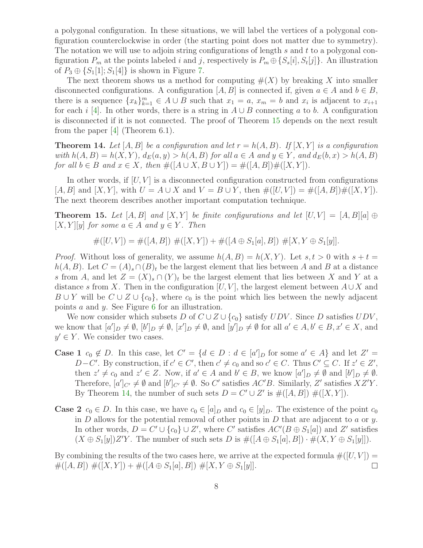a polygonal configuration. In these situations, we will label the vertices of a polygonal configuration counterclockwise in order (the starting point does not matter due to symmetry). The notation we will use to adjoin string configurations of length s and t to a polygonal configuration  $P_m$  at the points labeled i and j, respectively is  $P_m \oplus \{S_s[i], S_t[j]\}$ . An illustration of  $P_3 \oplus \{S_1[1], S_1[4]\}$  is shown in Figure [7.](#page-6-1)

The next theorem shows us a method for computing  $\#(X)$  by breaking X into smaller disconnected configurations. A configuration  $[A, B]$  is connected if, given  $a \in A$  and  $b \in B$ , there is a sequence  $\{x_k\}_{k=1}^m \in A \cup B$  such that  $x_1 = a$ ,  $x_m = b$  and  $x_i$  is adjacent to  $x_{i+1}$ for each i [\[4\]](#page-21-3). In other words, there is a string in  $A \cup B$  connecting a to b. A configuration is disconnected if it is not connected. The proof of Theorem [15](#page-7-0) depends on the next result from the paper [\[4\]](#page-21-3) (Theorem 6.1).

<span id="page-7-1"></span>**Theorem 14.** Let [A, B] be a configuration and let  $r = h(A, B)$ . If [X, Y] is a configuration with  $h(A, B) = h(X, Y)$ ,  $d_E(a, y) > h(A, B)$  for all  $a \in A$  and  $y \in Y$ , and  $d_E(b, x) > h(A, B)$ for all  $b \in B$  and  $x \in X$ , then  $\#([A \cup X, B \cup Y]) = \#([A, B]) \#([X, Y])$ .

In other words, if  $[U, V]$  is a disconnected configuration constructed from configurations  $[A, B]$  and  $[X, Y]$ , with  $U = A \cup X$  and  $V = B \cup Y$ , then  $\#([U, V]) = \#([A, B]) \#([X, Y])$ . The next theorem describes another important computation technique.

<span id="page-7-0"></span>**Theorem 15.** Let  $[A, B]$  and  $[X, Y]$  be finite configurations and let  $[U, V] = [A, B][a] \oplus$  $[X, Y][y]$  for some  $a \in A$  and  $y \in Y$ . Then

 $\#([U, V]) = \#([A, B]) \#([X, Y]) + \#([A \oplus S_1[a], B]) \#[X, Y \oplus S_1[y]].$ 

*Proof.* Without loss of generality, we assume  $h(A, B) = h(X, Y)$ . Let  $s, t > 0$  with  $s + t =$  $h(A, B)$ . Let  $C = (A)_s \cap (B)_t$  be the largest element that lies between A and B at a distance s from A, and let  $Z = (X)_s \cap (Y)_t$  be the largest element that lies between X and Y at a distance s from X. Then in the configuration  $[U, V]$ , the largest element between  $A \cup X$  and  $B \cup Y$  will be  $C \cup Z \cup \{c_0\}$ , where  $c_0$  is the point which lies between the newly adjacent points a and y. See Figure [6](#page-6-0) for an illustration.

We now consider which subsets D of  $C \cup Z \cup \{c_0\}$  satisfy  $UDV$ . Since D satisfies  $UDV$ , we know that  $[a']_D \neq \emptyset$ ,  $[b']_D \neq \emptyset$ ,  $[x']_D \neq \emptyset$ , and  $[y']_D \neq \emptyset$  for all  $a' \in A, b' \in B, x' \in X$ , and  $y' \in Y$ . We consider two cases.

- **Case 1**  $c_0 \notin D$ . In this case, let  $C' = \{d \in D : d \in [a']_D \text{ for some } a' \in A\}$  and let  $Z' =$  $D-C'$ . By construction, if  $c' \in C'$ , then  $c' \neq c_0$  and so  $c' \in C$ . Thus  $C' \subseteq C$ . If  $z' \in Z'$ , then  $z' \neq c_0$  and  $z' \in Z$ . Now, if  $a' \in A$  and  $b' \in B$ , we know  $[a']_D \neq \emptyset$  and  $[b']_D \neq \emptyset$ . Therefore,  $[a']_{C'} \neq \emptyset$  and  $[b']_{C'} \neq \emptyset$ . So C' satisfies  $AC'B$ . Similarly, Z' satisfies  $XZ'Y$ . By Theorem [14,](#page-7-1) the number of such sets  $D = C' \cup Z'$  is  $\#([A, B]) \#([X, Y])$ .
- **Case 2**  $c_0 \in D$ . In this case, we have  $c_0 \in [a]_D$  and  $c_0 \in [y]_D$ . The existence of the point  $c_0$ in  $D$  allows for the potential removal of other points in  $D$  that are adjacent to  $a$  or  $y$ . In other words,  $D = C' \cup \{c_0\} \cup Z'$ , where C' satisfies  $AC'(B \oplus S_1[a])$  and Z' satisfies  $(X \oplus S_1[y])Z'Y$ . The number of such sets D is  $\#([A \oplus S_1[a], B]) \cdot \#(X, Y \oplus S_1[y]]$ .

By combining the results of the two cases here, we arrive at the expected formula  $\#([U, V]) =$  $\#([A, B]) \#([X, Y]) + \#([A \oplus S_1[a], B]) \#[X, Y \oplus S_1[y]].$  $\Box$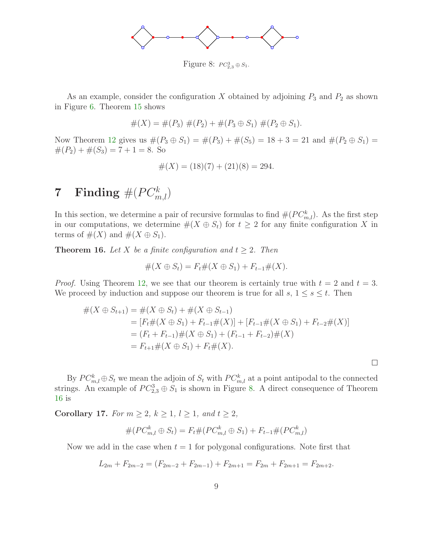

<span id="page-8-0"></span>Figure 8:  $PC_{2,3}^3 \oplus S_1$ .

As an example, consider the configuration X obtained by adjoining  $P_3$  and  $P_2$  as shown in Figure [6.](#page-6-0) Theorem [15](#page-7-0) shows

$$
#(X) = #(P_3) #(P_2) + #(P_3 \oplus S_1) #(P_2 \oplus S_1).
$$

Now Theorem [12](#page-5-2) gives us  $\#(P_3 \oplus S_1) = \#(P_3) + \#(S_5) = 18 + 3 = 21$  and  $\#(P_2 \oplus S_1) =$  $#(P_2) + #(S_3) = 7 + 1 = 8$ . So

$$
#(X) = (18)(7) + (21)(8) = 294.
$$

## ${\bf 7}\quad {\bf Finding}\ \#(PC^k_{m,l})$

In this section, we determine a pair of recursive formulas to find  $#(PC^k_{m,l})$ . As the first step in our computations, we determine  $\#(X \oplus S_t)$  for  $t \geq 2$  for any finite configuration X in terms of  $\#(X)$  and  $\#(X \oplus S_1)$ .

<span id="page-8-1"></span>**Theorem 16.** Let X be a finite configuration and  $t \geq 2$ . Then

$$
#(X \oplus S_t) = F_t#(X \oplus S_1) + F_{t-1}#(X).
$$

*Proof.* Using Theorem [12,](#page-5-2) we see that our theorem is certainly true with  $t = 2$  and  $t = 3$ . We proceed by induction and suppose our theorem is true for all  $s, 1 \le s \le t$ . Then

$$
#(X \oplus S_{t+1}) = #(X \oplus S_t) + #(X \oplus S_{t-1})
$$
  
=  $[F_t#(X \oplus S_1) + F_{t-1}#(X)] + [F_{t-1}#(X \oplus S_1) + F_{t-2}#(X)]$   
=  $(F_t + F_{t-1}) \#(X \oplus S_1) + (F_{t-1} + F_{t-2}) \#(X)$   
=  $F_{t+1} \#(X \oplus S_1) + F_t \#(X).$ 

 $\Box$ 

By  $PC_{m,l}^k \oplus S_t$  we mean the adjoin of  $S_t$  with  $PC_{m,l}^k$  at a point antipodal to the connected strings. An example of  $PC_{2,3}^3 \oplus S_1$  is shown in Figure [8.](#page-8-0) A direct consequence of Theorem [16](#page-8-1) is

<span id="page-8-3"></span>Corollary 17. For  $m \geq 2$ ,  $k \geq 1$ ,  $l \geq 1$ , and  $t \geq 2$ ,

$$
#(PC_{m,l}^{k} \oplus S_{t}) = F_{t}#(PC_{m,l}^{k} \oplus S_{1}) + F_{t-1}#(PC_{m,l}^{k})
$$

<span id="page-8-2"></span>Now we add in the case when  $t = 1$  for polygonal configurations. Note first that

$$
L_{2m} + F_{2m-2} = (F_{2m-2} + F_{2m-1}) + F_{2m+1} = F_{2m} + F_{2m+1} = F_{2m+2}.
$$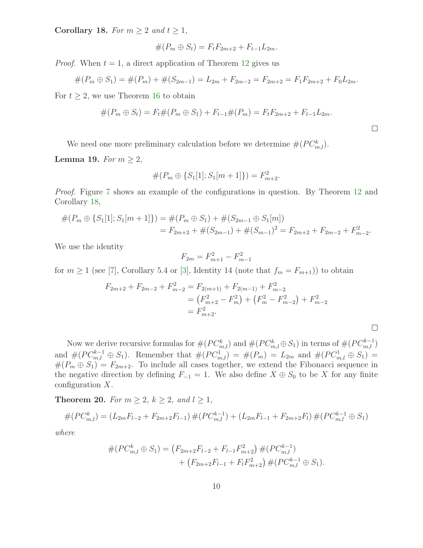Corollary 18. For  $m \geq 2$  and  $t \geq 1$ ,

$$
#(P_m \oplus S_t) = F_t F_{2m+2} + F_{t-1} L_{2m}.
$$

*Proof.* When  $t = 1$ , a direct application of Theorem [12](#page-5-2) gives us

$$
#(P_m \oplus S_1) = #(P_m) + #(S_{2m-1}) = L_{2m} + F_{2m-2} = F_{2m+2} = F_1F_{2m+2} + F_0L_{2m}.
$$

For  $t \geq 2$ , we use Theorem [16](#page-8-1) to obtain

$$
#(P_m \oplus S_t) = F_t#(P_m \oplus S_1) + F_{t-1}#(P_m) = F_t F_{2m+2} + F_{t-1} L_{2m}.
$$

 $\Box$ 

 $\Box$ 

We need one more preliminary calculation before we determine  $#(PC_{m,l}^k)$ .

<span id="page-9-0"></span>Lemma 19. For  $m \geq 2$ ,

$$
#(P_m \oplus \{S_1[1]; S_1[m+1]\}) = F_{m+2}^2.
$$

Proof. Figure [7](#page-6-1) shows an example of the configurations in question. By Theorem [12](#page-5-2) and Corollary [18,](#page-8-2)

$$
#(P_m \oplus \{S_1[1]; S_1[m+1]\}) = #(P_m \oplus S_1) + #(S_{2m-1} \oplus S_1[m])
$$
  
=  $F_{2m+2} + #(S_{2m-1}) + #(S_{m-1})^2 = F_{2m+2} + F_{2m-2} + F_{m-2}^2$ .

We use the identity

$$
F_{2m} = F_{m+1}^2 - F_{m-1}^2
$$

for  $m \ge 1$  (see [\[7\]](#page-21-5), Corollary 5.4 or [\[3\]](#page-21-6), Identity 14 (note that  $f_m = F_{m+1}$ ) to obtain

$$
F_{2m+2} + F_{2m-2} + F_{m-2}^2 = F_{2(m+1)} + F_{2(m-1)} + F_{m-2}^2
$$
  
=  $(F_{m+2}^2 - F_m^2) + (F_m^2 - F_{m-2}^2) + F_{m-2}^2$   
=  $F_{m+2}^2$ .

Now we derive recursive formulas for  $\#(PC^k_{m,l})$  and  $\#(PC^k_{m,l} \oplus S_1)$  in terms of  $\#(PC^{k-1}_{m,l})$ and  $\#(PC_{m,l}^{k-1} \oplus S_1)$ . Remember that  $\#(PC_{m,l}^1) = \#(P_m) = L_{2m}$  and  $\#(PC_{m,l}^1 \oplus S_1) =$  $#(P_m \oplus S_1) = F_{2m+2}$ . To include all cases together, we extend the Fibonacci sequence in the negative direction by defining  $F_{-1} = 1$ . We also define  $X \oplus S_0$  to be X for any finite configuration X.

<span id="page-9-1"></span>**Theorem 20.** For  $m \geq 2$ ,  $k \geq 2$ , and  $l \geq 1$ ,

$$
#(PC_{m,l}^{k}) = (L_{2m}F_{l-2} + F_{2m+2}F_{l-1}) \#(PC_{m,l}^{k-1}) + (L_{2m}F_{l-1} + F_{2m+2}F_{l}) \#(PC_{m,l}^{k-1} \oplus S_{1})
$$

where

$$
#(PC_{m,l}^{k} \oplus S_{1}) = (F_{2m+2}F_{l-2} + F_{l-1}F_{m+2}^{2}) # (PC_{m,l}^{k-1})
$$
  
+ 
$$
(F_{2m+2}F_{l-1} + F_{l}F_{m+2}^{2}) # (PC_{m,l}^{k-1} \oplus S_{1}).
$$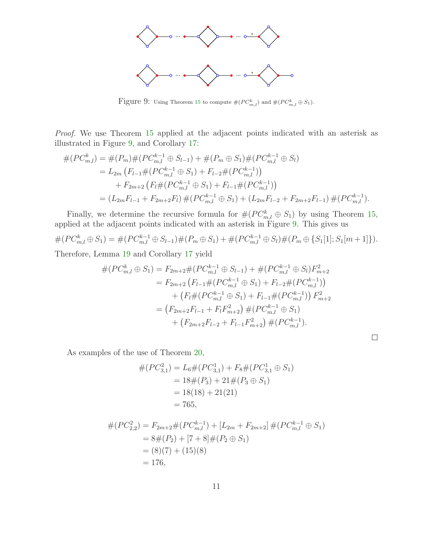

<span id="page-10-0"></span>Figure 9: Using Theorem [15](#page-7-0) to compute  $\#(PC^k_{m,l})$  and  $\#(PC^k_{m,l} \oplus S_1)$ .

Proof. We use Theorem [15](#page-7-0) applied at the adjacent points indicated with an asterisk as illustrated in Figure [9,](#page-10-0) and Corollary [17:](#page-8-3)

$$
#(PC_{m,l}^{k}) = #(P_{m})#(PC_{m,l}^{k-1} \oplus S_{l-1}) + #(P_{m} \oplus S_{1})#(PC_{m,l}^{k-1} \oplus S_{l})
$$
  
=  $L_{2m} (F_{l-1}#(PC_{m,l}^{k-1} \oplus S_{1}) + F_{l-2}#(PC_{m,l}^{k-1}))$   
+  $F_{2m+2} (F_{l}#(PC_{m,l}^{k-1} \oplus S_{1}) + F_{l-1}#(PC_{m,l}^{k-1}))$   
=  $(L_{2m}F_{l-1} + F_{2m+2}F_{l}) #(PC_{m,l}^{k-1} \oplus S_{1}) + (L_{2m}F_{l-2} + F_{2m+2}F_{l-1}) #(PC_{m,l}^{k-1}).$ 

Finally, we determine the recursive formula for  $\#(PC^k_{m,l} \oplus S_1)$  by using Theorem [15,](#page-7-0) applied at the adjacent points indicated with an asterisk in Figure [9.](#page-10-0) This gives us

$$
#(PC_{m,l}^k \oplus S_1) = #(PC_{m,l}^{k-1} \oplus S_{l-1}) \#(P_m \oplus S_1) + #(PC_{m,l}^{k-1} \oplus S_l) \#(P_m \oplus \{S_1[1]; S_1[m+1]\}).
$$

Therefore, Lemma [19](#page-9-0) and Corollary [17](#page-8-3) yield

$$
\#(PC_{m,l}^{k} \oplus S_{1}) = F_{2m+2} \#(PC_{m,l}^{k-1} \oplus S_{l-1}) + \#(PC_{m,l}^{k-1} \oplus S_{l})F_{m+2}^{2}
$$
  
\n
$$
= F_{2m+2} (F_{l-1} \#(PC_{m,l}^{k-1} \oplus S_{1}) + F_{l-2} \#(PC_{m,l}^{k-1}))
$$
  
\n
$$
+ (F_{l} \#(PC_{m,l}^{k-1} \oplus S_{1}) + F_{l-1} \#(PC_{m,l}^{k-1})) F_{m+2}^{2}
$$
  
\n
$$
= (F_{2m+2}F_{l-1} + F_{l}F_{m+2}^{2}) \#(PC_{m,l}^{k-1} \oplus S_{1})
$$
  
\n
$$
+ (F_{2m+2}F_{l-2} + F_{l-1}F_{m+2}^{2}) \#(PC_{m,l}^{k-1}).
$$

 $\Box$ 

As examples of the use of Theorem [20,](#page-9-1)

$$
#(PC_{3,1}^2) = L_6 # (PC_{3,1}^1) + F_8 # (PC_{3,1}^1 \oplus S_1)
$$
  
= 18# (P<sub>3</sub>) + 21# (P<sub>3</sub>  $\oplus$  S<sub>1</sub>)  
= 18(18) + 21(21)  
= 765,

$$
#(PC_{2,2}^{2}) = F_{2m+2} \# (PC_{m,l}^{k-1}) + [L_{2m} + F_{2m+2}] \# (PC_{m,l}^{k-1} \oplus S_1)
$$
  
= 8#(P<sub>2</sub>) + [7 + 8] # (P<sub>2</sub>  $\oplus$  S<sub>1</sub>)  
= (8)(7) + (15)(8)  
= 176,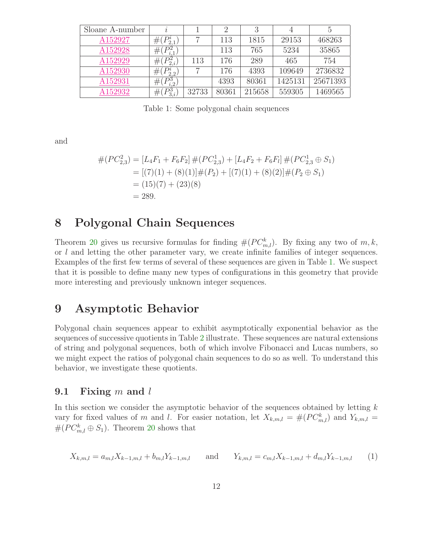| Sloane A-number | $\iota$               |       |       |        | 4       |          |
|-----------------|-----------------------|-------|-------|--------|---------|----------|
| A152927         | $#(P_{2.1}^i)$        |       | 113   | 1815   | 29153   | 468263   |
| A152928         | $#(P_{i,1}^2)$        |       | 113   | 765    | 5234    | 35865    |
| A152929         | $#(P_{2,i}^2)$        | 113   | 176   | 289    | 465     | 754      |
| A152930         | $(P_{2,2}^i)$<br>#(   |       | 176   | 4393   | 109649  | 2736832  |
| A152931         | $^{\#}$<br>i.2        |       | 4393  | 80361  | 1425131 | 25671393 |
| A152932         | Dэ<br>$_{\#}$<br>3.i. | 32733 | 80361 | 215658 | 559305  | 1469565  |

<span id="page-11-0"></span>Table 1: Some polygonal chain sequences

and

$$
#(PC_{2,3}^{2}) = [L_{4}F_{1} + F_{6}F_{2}] # (PC_{2,3}^{1}) + [L_{4}F_{2} + F_{6}F_{l}] # (PC_{2,3}^{1} \oplus S_{1})
$$
  
= [(7)(1) + (8)(1)]#(P\_{2}) + [(7)(1) + (8)(2)]#(P\_{2} \oplus S\_{1})  
= (15)(7) + (23)(8)  
= 289.

#### 8 Polygonal Chain Sequences

Theorem [20](#page-9-1) gives us recursive formulas for finding  $\#(PC^k_{m,l})$ . By fixing any two of  $m, k$ , or l and letting the other parameter vary, we create infinite families of integer sequences. Examples of the first few terms of several of these sequences are given in Table [1.](#page-11-0) We suspect that it is possible to define many new types of configurations in this geometry that provide more interesting and previously unknown integer sequences.

### 9 Asymptotic Behavior

Polygonal chain sequences appear to exhibit asymptotically exponential behavior as the sequences of successive quotients in Table [2](#page-12-0) illustrate. These sequences are natural extensions of string and polygonal sequences, both of which involve Fibonacci and Lucas numbers, so we might expect the ratios of polygonal chain sequences to do so as well. To understand this behavior, we investigate these quotients.

#### 9.1 Fixing m and  $l$

<span id="page-11-1"></span>In this section we consider the asymptotic behavior of the sequences obtained by letting  $k$ vary for fixed values of m and l. For easier notation, let  $X_{k,m,l} = \#(PC_{m,l}^k)$  and  $Y_{k,m,l} =$  $#(PC_{m,l}^k \oplus S_1)$ . Theorem [20](#page-9-1) shows that

$$
X_{k,m,l} = a_{m,l} X_{k-1,m,l} + b_{m,l} Y_{k-1,m,l} \quad \text{and} \quad Y_{k,m,l} = c_{m,l} X_{k-1,m,l} + d_{m,l} Y_{k-1,m,l} \quad (1)
$$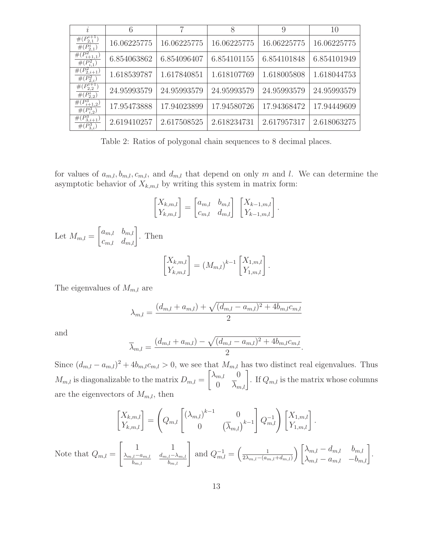| $\dot{i}$                                      | 6           | 7           | 8           | 9           | 10          |
|------------------------------------------------|-------------|-------------|-------------|-------------|-------------|
| $#(P_{2,1}^{i+1})$<br>$#(P_{2,1}^i)$           | 16.06225775 | 16.06225775 | 16.06225775 | 16.06225775 | 16.06225775 |
| $\overline{\#(P_{i+1,1}^2)}$<br>$#(P_{i,1}^2)$ | 6.854063862 | 6.854096407 | 6.854101155 | 6.854101848 | 6.854101949 |
| $#(P_{2,i+1}^2)$<br>$#(P_{2,i}^2)$             | 1.618539787 | 1.617840851 | 1.618107769 | 1.618005808 | 1.618044753 |
| $\#(P_{2,2}^{i+1})$<br>$#(P_{2,2}^i)$          | 24.95993579 | 24.95993579 | 24.95993579 | 24.95993579 | 24.95993579 |
| $#(P_{i+1,2}^3)$<br>$#(P_{i2}^{3})$            | 17.95473888 | 17.94023899 | 17.94580726 | 17.94368472 | 17.94449609 |
| $\overline{\#(P^3_{3,i+1})}$<br>$#(P_{3,i}^3)$ | 2.619410257 | 2.617508525 | 2.618234731 | 2.617957317 | 2.618063275 |

<span id="page-12-0"></span>Table 2: Ratios of polygonal chain sequences to 8 decimal places.

for values of  $a_{m,l}, b_{m,l}, c_{m,l}$ , and  $d_{m,l}$  that depend on only m and l. We can determine the asymptotic behavior of  $X_{k,m,l}$  by writing this system in matrix form:

$$
\begin{bmatrix} X_{k,m,l} \\ Y_{k,m,l} \end{bmatrix} = \begin{bmatrix} a_{m,l} & b_{m,l} \\ c_{m,l} & d_{m,l} \end{bmatrix} \begin{bmatrix} X_{k-1,m,l} \\ Y_{k-1,m,l} \end{bmatrix}.
$$

Let  $M_{m,l} = \begin{bmatrix} a_{m,l} & b_{m,l} \\ c_{m,l} & d_{m,l} \end{bmatrix}$ . Then  $\begin{bmatrix} X_{k,m,l} \\ Y_{k,m,l} \end{bmatrix} = (M_{m,l})^{k-1} \begin{bmatrix} X_{1,m,l} \\ Y_{1,m,l} \end{bmatrix}.$ 

The eigenvalues of  $M_{m,l}$  are

$$
\lambda_{m,l} = \frac{(d_{m,l} + a_{m,l}) + \sqrt{(d_{m,l} - a_{m,l})^2 + 4b_{m,l}c_{m,l}}}{2}
$$

and

$$
\overline{\lambda}_{m,l} = \frac{(d_{m,l} + a_{m,l}) - \sqrt{(d_{m,l} - a_{m,l})^2 + 4b_{m,l}c_{m,l}}}{2}.
$$

Since  $(d_{m,l} - a_{m,l})^2 + 4b_{m,l}c_{m,l} > 0$ , we see that  $M_{m,l}$  has two distinct real eigenvalues. Thus  $M_{m,l}$  is diagonalizable to the matrix  $D_{m,l} = \begin{bmatrix} \lambda_{m,l} & 0 \\ 0 & \overline{\lambda}_{m,l} \end{bmatrix}$ . If  $Q_{m,l}$  is the matrix whose columns are the eigenvectors of  $M_{m,l}$ , then

$$
\begin{bmatrix} X_{k,m,l} \\ Y_{k,m,l} \end{bmatrix} = \left(Q_{m,l} \begin{bmatrix} \left(\lambda_{m,l}\right)^{k-1} & 0 \\ 0 & \left(\overline{\lambda}_{m,l}\right)^{k-1} \end{bmatrix} Q_{m,l}^{-1} \right) \begin{bmatrix} X_{1,m,l} \\ Y_{1,m,l} \end{bmatrix}.
$$
  
Note that  $Q_{m,l} = \begin{bmatrix} 1 & 1 \\ \frac{\lambda_{m,l} - a_{m,l}}{b_{m,l}} & \frac{d_{m,l} - \lambda_{m,l}}{b_{m,l}} \end{bmatrix}$  and  $Q_{m,l}^{-1} = \left(\frac{1}{2\lambda_{m,l} - (a_{m,l} + d_{m,l})}\right) \begin{bmatrix} \lambda_{m,l} - d_{m,l} & b_{m,l} \\ \lambda_{m,l} - a_{m,l} & -b_{m,l} \end{bmatrix}.$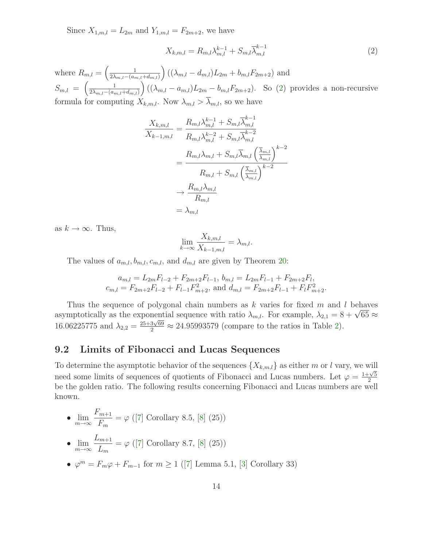Since  $X_{1,m,l} = L_{2m}$  and  $Y_{1,m,l} = F_{2m+2}$ , we have

<span id="page-13-0"></span>
$$
X_{k,m,l} = R_{m,l} \lambda_{m,l}^{k-1} + S_{m,l} \overline{\lambda}_{m,l}^{k-1}
$$
 (2)

where  $R_{m,l} = \left(\frac{1}{2\lambda_{m,l} - (a_m)^2}\right)$  $2\lambda_{m,l}-(a_{m,l}+d_{m,l})$  $\Big((\lambda_{m,l} - d_{m,l})L_{2m} + b_{m,l}F_{2m+2})$  and  $S_{m,l} = \left(\frac{1}{2\lambda_{m,l}-(a_m)}\right)$  $2\lambda_{m,l}-(a_{m,l}+d_{m,l})$  $\Big((\lambda_{m,l} - a_{m,l})L_{2m} - b_{m,l}F_{2m+2})$ . So [\(2\)](#page-13-0) provides a non-recursive formula for computing  $X_{k,m,l}$ . Now  $\lambda_{m,l} > \lambda_{m,l}$ , so we have

$$
\frac{X_{k,m,l}}{X_{k-1,m,l}} = \frac{R_{m,l}\lambda_{m,l}^{k-1} + S_{m,l}\overline{\lambda}_{m,l}^{k-1}}{R_{m,l}\lambda_{m,l}^{k-2} + S_{m,l}\overline{\lambda}_{m,l}^{k-2}}
$$
\n
$$
= \frac{R_{m,l}\lambda_{m,l} + S_{m,l}\overline{\lambda}_{m,l}\left(\frac{\overline{\lambda}_{m,l}}{\lambda_{m,l}}\right)^{k-2}}{R_{m,l} + S_{m,l}\left(\frac{\overline{\lambda}_{m,l}}{\lambda_{m,l}}\right)^{k-2}}
$$
\n
$$
\rightarrow \frac{R_{m,l}\lambda_{m,l}}{R_{m,l}}
$$
\n
$$
= \lambda_{m,l}
$$

as  $k \to \infty$ . Thus,

$$
\lim_{k \to \infty} \frac{X_{k,m,l}}{X_{k-1,m,l}} = \lambda_{m,l}.
$$

The values of  $a_{m,l}, b_{m,l}, c_{m,l}$ , and  $d_{m,l}$  are given by Theorem [20:](#page-9-1)

$$
a_{m,l} = L_{2m}F_{l-2} + F_{2m+2}F_{l-1}, \quad b_{m,l} = L_{2m}F_{l-1} + F_{2m+2}F_l,
$$
  

$$
c_{m,l} = F_{2m+2}F_{l-2} + F_{l-1}F_{m+2}^2, \quad \text{and} \quad d_{m,l} = F_{2m+2}F_{l-1} + F_lF_{m+2}^2.
$$

Thus the sequence of polygonal chain numbers as  $k$  varies for fixed  $m$  and  $l$  behaves asymptotically as the exponential sequence with ratio  $\lambda_{m,l}$ . For example,  $\lambda_{2,1} = 8 + \sqrt{65} \approx$ 16.06225775 and  $\lambda_{2,2} = \frac{25+3\sqrt{69}}{2} \approx 24.95993579$  (compare to the ratios in Table [2\)](#page-12-0).

#### 9.2 Limits of Fibonacci and Lucas Sequences

To determine the asymptotic behavior of the sequences  $\{X_{k,m,l}\}$  as either m or l vary, we will need some limits of sequences of quotients of Fibonacci and Lucas numbers. Let  $\varphi = \frac{1+\sqrt{5}}{2}$ 2 be the golden ratio. The following results concerning Fibonacci and Lucas numbers are well known.

- $\lim_{m\to\infty}$  $F_{m+1}$  $F_m$  $= \varphi ([7]$  $= \varphi ([7]$  Corollary 8.5, [\[8\]](#page-21-7) (25))
- $\lim_{m\to\infty}$  $L_{m+1}$  $L_m$  $= \varphi ([7]$  $= \varphi ([7]$  Corollary 8.7, [\[8\]](#page-21-7) (25))
- $\varphi^m = F_m \varphi + F_{m-1}$  for  $m \ge 1$  ([\[7\]](#page-21-5) Lemma 5.1, [\[3\]](#page-21-6) Corollary 33)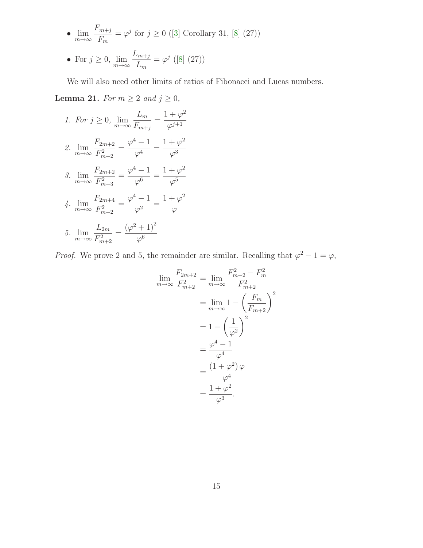• 
$$
\lim_{m \to \infty} \frac{F_{m+j}}{F_m} = \varphi^j \text{ for } j \ge 0 \text{ (3] Corollary 31, [8] (27))}
$$

• For 
$$
j \ge 0
$$
,  $\lim_{m \to \infty} \frac{L_{m+j}}{L_m} = \varphi^j \text{ (8) (27)}$ 

We will also need other limits of ratios of Fibonacci and Lucas numbers.

**Lemma 21.** For  $m \ge 2$  and  $j \ge 0$ ,

1. For 
$$
j \ge 0
$$
,  $\lim_{m \to \infty} \frac{L_m}{F_{m+j}} = \frac{1+\varphi^2}{\varphi^{j+1}}$   
\n2.  $\lim_{m \to \infty} \frac{F_{2m+2}}{F_{m+2}^2} = \frac{\varphi^4 - 1}{\varphi^4} = \frac{1+\varphi^2}{\varphi^3}$   
\n3.  $\lim_{m \to \infty} \frac{F_{2m+2}}{F_{m+3}^2} = \frac{\varphi^4 - 1}{\varphi^6} = \frac{1+\varphi^2}{\varphi^5}$   
\n4.  $\lim_{m \to \infty} \frac{F_{2m+4}}{F_{m+2}^2} = \frac{\varphi^4 - 1}{\varphi^2} = \frac{1+\varphi^2}{\varphi}$   
\n5.  $\lim_{m \to \infty} \frac{L_{2m}}{F_{m+2}^2} = \frac{(\varphi^2 + 1)^2}{\varphi^6}$ 

*Proof.* We prove 2 and 5, the remainder are similar. Recalling that  $\varphi^2 - 1 = \varphi$ ,

$$
\lim_{m \to \infty} \frac{F_{2m+2}}{F_{m+2}^2} = \lim_{m \to \infty} \frac{F_{m+2}^2 - F_m^2}{F_{m+2}^2}
$$

$$
= \lim_{m \to \infty} 1 - \left(\frac{F_m}{F_{m+2}}\right)^2
$$

$$
= 1 - \left(\frac{1}{\varphi^2}\right)^2
$$

$$
= \frac{\varphi^4 - 1}{\varphi^4}
$$

$$
= \frac{(1 + \varphi^2)\varphi}{\varphi^4}
$$

$$
= \frac{1 + \varphi^2}{\varphi^3}.
$$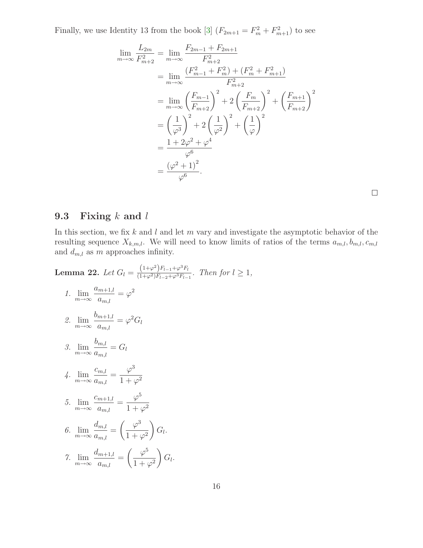Finally, we use Identity 13 from the book [\[3\]](#page-21-6)  $(F_{2m+1} = F_m^2 + F_{m+1}^2)$  to see

$$
\lim_{m \to \infty} \frac{L_{2m}}{F_{m+2}^2} = \lim_{m \to \infty} \frac{F_{2m-1} + F_{2m+1}}{F_{m+2}^2}
$$
  
\n
$$
= \lim_{m \to \infty} \frac{(F_{m-1}^2 + F_m^2) + (F_m^2 + F_{m+1}^2)}{F_{m+2}^2}
$$
  
\n
$$
= \lim_{m \to \infty} \left(\frac{F_{m-1}}{F_{m+2}}\right)^2 + 2\left(\frac{F_m}{F_{m+2}}\right)^2 + \left(\frac{F_{m+1}}{F_{m+2}}\right)^2
$$
  
\n
$$
= \left(\frac{1}{\varphi^3}\right)^2 + 2\left(\frac{1}{\varphi^2}\right)^2 + \left(\frac{1}{\varphi}\right)^2
$$
  
\n
$$
= \frac{1 + 2\varphi^2 + \varphi^4}{\varphi^6}
$$
  
\n
$$
= \frac{(\varphi^2 + 1)^2}{\varphi^6}.
$$

#### 9.3 Fixing  $k$  and  $l$

In this section, we fix  $k$  and  $l$  and let  $m$  vary and investigate the asymptotic behavior of the resulting sequence  $X_{k,m,l}$ . We will need to know limits of ratios of the terms  $a_{m,l}, b_{m,l}, c_{m,l}$ and  $d_{m,l}$  as m approaches infinity.

 $1,$ 

**Lemma 22.** Let 
$$
G_l = \frac{(1+\varphi^2)F_{l-1}+\varphi^3 F_l}{(1+\varphi^2)F_{l-2}+\varphi^3 F_{l-1}}
$$
. Then for  $l \ge$   
\n1.  $\lim_{m \to \infty} \frac{a_{m+1,l}}{a_{m,l}} = \varphi^2$   
\n2.  $\lim_{m \to \infty} \frac{b_{m+1,l}}{a_{m,l}} = \varphi^2 G_l$   
\n3.  $\lim_{m \to \infty} \frac{b_{m,l}}{a_{m,l}} = G_l$   
\n4.  $\lim_{m \to \infty} \frac{c_{m,l}}{a_{m,l}} = \frac{\varphi^3}{1+\varphi^2}$   
\n5.  $\lim_{m \to \infty} \frac{c_{m+1,l}}{a_{m,l}} = \frac{\varphi^5}{1+\varphi^2}$   
\n6.  $\lim_{m \to \infty} \frac{d_{m,l}}{a_{m,l}} = \left(\frac{\varphi^3}{1+\varphi^2}\right) G_l$ .  
\n7.  $\lim_{m \to \infty} \frac{d_{m+1,l}}{a_{m,l}} = \left(\frac{\varphi^5}{1+\varphi^2}\right) G_l$ .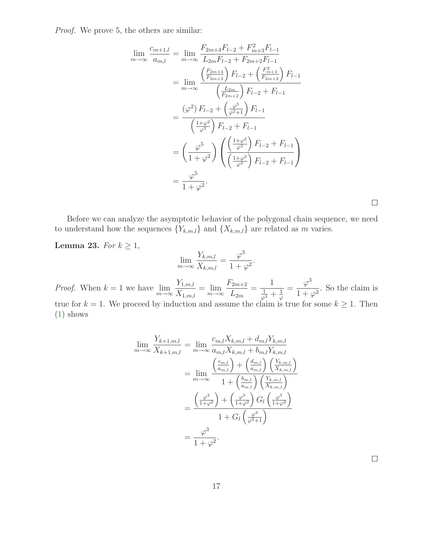Proof. We prove 5, the others are similar:

$$
\lim_{m \to \infty} \frac{c_{m+1,l}}{a_{m,l}} = \lim_{m \to \infty} \frac{F_{2m+4}F_{l-2} + F_{m+3}^2F_{l-1}}{L_{2m}F_{l-2} + F_{2m+2}F_{l-1}}
$$
  
\n
$$
= \lim_{m \to \infty} \frac{\left(\frac{F_{2m+4}}{F_{2m+2}}\right)F_{l-2} + \left(\frac{F_{m+3}^2}{F_{2m+2}}\right)F_{l-1}}{\left(\frac{L_{2m}}{F_{2m+2}}\right)F_{l-2} + F_{l-1}}
$$
  
\n
$$
= \frac{\left(\varphi^2\right)F_{l-2} + \left(\frac{\varphi^5}{\varphi^2+1}\right)F_{l-1}}{\left(\frac{1+\varphi^2}{\varphi^3}\right)F_{l-2} + F_{l-1}}
$$
  
\n
$$
= \left(\frac{\varphi^5}{1+\varphi^2}\right) \left(\frac{\left(\frac{1+\varphi^2}{\varphi^3}\right)F_{l-2} + F_{l-1}}{\left(\frac{1+\varphi^2}{\varphi^3}\right)F_{l-2} + F_{l-1}}\right)
$$
  
\n
$$
= \frac{\varphi^5}{1+\varphi^2}.
$$

 $\Box$ 

Before we can analyze the asymptotic behavior of the polygonal chain sequence, we need to understand how the sequences  $\{Y_{k,m,l}\}\$  and  $\{X_{k,m,l}\}\$  are related as m varies.

#### Lemma 23. For  $k \geq 1$ ,

$$
\lim_{m \to \infty} \frac{Y_{k,m,l}}{X_{k,m,l}} = \frac{\varphi^3}{1 + \varphi^2}.
$$
  
\n*Proof.* When  $k = 1$  we have  $\lim_{m \to \infty} \frac{Y_{1,m,l}}{X_{1,m,l}} = \lim_{m \to \infty} \frac{F_{2m+2}}{L_{2m}} = \frac{1}{\frac{1}{\varphi^3} + \frac{1}{\varphi}} = \frac{\varphi^3}{1 + \varphi^2}$ . So the claim is true for  $k = 1$ . We proceed by induction and assume the claim is true for some  $k \ge 1$ . Then (1) shows

$$
\lim_{m \to \infty} \frac{Y_{k+1,m,l}}{X_{k+1,m,l}} = \lim_{m \to \infty} \frac{c_{m,l} X_{k,m,l} + d_{m,l} Y_{k,m,l}}{a_{m,l} X_{k,m,l} + b_{m,l} Y_{k,m,l}}
$$

$$
= \lim_{m \to \infty} \frac{\left(\frac{c_{m,l}}{a_{m,l}}\right) + \left(\frac{d_{m,l}}{a_{m,l}}\right) \left(\frac{Y_{k,m,l}}{X_{k,m,l}}\right)}{1 + \left(\frac{b_{m,l}}{a_{m,l}}\right) \left(\frac{Y_{k,m,l}}{X_{k,m,l}}\right)}
$$

$$
= \frac{\left(\frac{\varphi^3}{1 + \varphi^2}\right) + \left(\frac{\varphi^3}{1 + \varphi^2}\right) G_l \left(\frac{\varphi^3}{1 + \varphi^2}\right)}{1 + G_l \left(\frac{\varphi^3}{\varphi^2 + 1}\right)}
$$

$$
= \frac{\varphi^3}{1 + \varphi^2}.
$$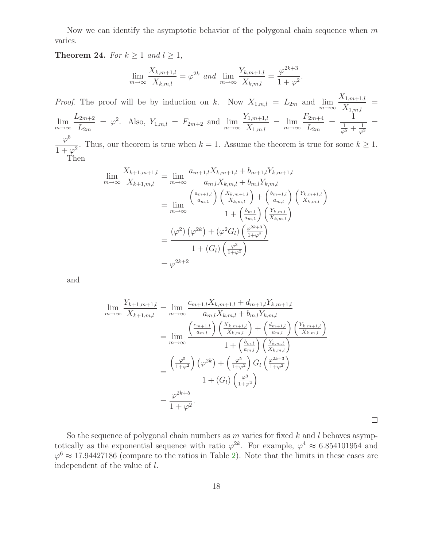Now we can identify the asymptotic behavior of the polygonal chain sequence when  $m$ varies.

Theorem 24. For  $k \ge 1$  and  $l \ge 1$ ,

$$
\lim_{m \to \infty} \frac{X_{k,m+1,l}}{X_{k,m,l}} = \varphi^{2k} \text{ and } \lim_{m \to \infty} \frac{Y_{k,m+1,l}}{X_{k,m,l}} = \frac{\varphi^{2k+3}}{1+\varphi^2}.
$$

*Proof.* The proof will be by induction on k. Now  $X_{1,m,l} = L_{2m}$  and  $\lim_{m \to \infty} \frac{X_{1,m+1,l}}{X_{1,m,l}}$  $\frac{X_{1,m+1,l}}{X_{1,m,l}} =$  $\lim_{m\to\infty}$  $L_{2m+2}$  $L_{2m}$  $= \varphi^2$ . Also,  $Y_{1,m,l} = F_{2m+2}$  and  $\lim_{m \to \infty}$  $Y_{1,m+1,l}$  $\frac{X_{1,m+1,l}}{X_{1,m,l}} = \lim_{m \to \infty}$  $F_{2m+4}$  $\frac{2m+4}{L_{2m}} =$ 1  $rac{1}{\varphi^5} + \frac{1}{\varphi^3}$ =  $\varphi$ 5  $\frac{\gamma}{1 + \varphi^2}$ . Thus, our theorem is true when  $k = 1$ . Assume the theorem is true for some  $k \ge 1$ .

$$
\mathbf{Then}
$$

$$
\lim_{m \to \infty} \frac{X_{k+1,m+1,l}}{X_{k+1,m,l}} = \lim_{m \to \infty} \frac{a_{m+1,l} X_{k,m+1,l} + b_{m+1,l} Y_{k,m+1,l}}{a_{m,l} X_{k,m,l} + b_{m,l} Y_{k,m,l}}
$$
  
\n
$$
= \lim_{m \to \infty} \frac{\left(\frac{a_{m+1,l}}{a_{m,1}}\right) \left(\frac{X_{k,m+1,l}}{X_{k,m,l}}\right) + \left(\frac{b_{m+1,l}}{a_{m,l}}\right) \left(\frac{Y_{k,m+1,l}}{X_{k,m,l}}\right)}{1 + \left(\frac{b_{m,l}}{a_{m,1}}\right) \left(\frac{Y_{k,m,l}}{X_{k,m,l}}\right)}
$$
  
\n
$$
= \frac{(\varphi^2) \left(\varphi^{2k}\right) + (\varphi^2 G_l) \left(\frac{\varphi^{2k+3}}{1+\varphi^2}\right)}{1 + (G_l) \left(\frac{\varphi^3}{1+\varphi^2}\right)}
$$
  
\n
$$
= \varphi^{2k+2}
$$

and

$$
\lim_{m \to \infty} \frac{Y_{k+1,m+1,l}}{X_{k+1,m,l}} = \lim_{m \to \infty} \frac{c_{m+1,l} X_{k,m+1,l} + d_{m+1,l} Y_{k,m+1,l}}{a_{m,l} X_{k,m,l} + b_{m,l} Y_{k,m,l}}
$$
  
\n
$$
= \lim_{m \to \infty} \frac{\left(\frac{c_{m+1,l}}{a_{m,l}}\right) \left(\frac{X_{k,m+1,l}}{X_{k,m,l}}\right) + \left(\frac{d_{m+1,l}}{a_{m,l}}\right) \left(\frac{Y_{k,m+1,l}}{X_{k,m,l}}\right)}{1 + \left(\frac{b_{m,l}}{a_{m,l}}\right) \left(\frac{Y_{k,m,l}}{X_{k,m,l}}\right)}
$$
  
\n
$$
= \frac{\left(\frac{\varphi^5}{1+\varphi^2}\right) (\varphi^{2k}) + \left(\frac{\varphi^5}{1+\varphi^2}\right) G_l \left(\frac{\varphi^{2k+3}}{1+\varphi^2}\right)}{1 + (G_l) \left(\frac{\varphi^3}{1+\varphi^2}\right)}
$$
  
\n
$$
= \frac{\varphi^{2k+5}}{1+\varphi^2}.
$$

 $\Box$ 

So the sequence of polygonal chain numbers as  $m$  varies for fixed  $k$  and  $l$  behaves asymptotically as the exponential sequence with ratio  $\varphi^{2k}$ . For example,  $\varphi^4 \approx 6.854101954$  and  $\varphi^6 \approx 17.94427186$  (compare to the ratios in Table [2\)](#page-12-0). Note that the limits in these cases are independent of the value of l.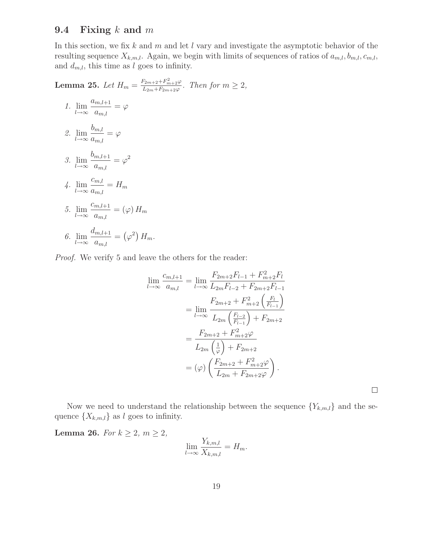#### 9.4 Fixing  $k$  and  $m$

In this section, we fix k and m and let l vary and investigate the asymptotic behavior of the resulting sequence  $X_{k,m,l}$ . Again, we begin with limits of sequences of ratios of  $a_{m,l}, b_{m,l}, c_{m,l}$ , and  $d_{m,l}$ , this time as l goes to infinity.

**Lemma 25.** Let  $H_m = \frac{F_{2m+2} + F_{m+2}^2 \varphi}{L_{2m} + F_{2m+2}(\varphi)}$  $\frac{m+2+r_{m+2}\varphi}{L_{2m}+F_{2m+2}\varphi}$ . Then for  $m\geq 2$ , 1. lim  $l\rightarrow\infty$  $a_{m,l+1}$  $a_{m,l}$  $=$   $\varphi$ 2. lim  $l\rightarrow\infty$  $b_{m,l}$  $a_{m,l}$  $=$   $\varphi$ 3. lim  $l\rightarrow\infty$  $b_{m,l+1}$  $a_{m,l}$  $= \varphi^2$ 4. lim  $l\rightarrow\infty$  $c_{m,l}$  $a_{m,l}$  $=$   $H_m$ 5. lim  $l\rightarrow\infty$  $c_{m,l+1}$  $a_{m,l}$  $=\left( \varphi\right) H_{m}$ 6. lim  $l\rightarrow\infty$  $d_{m,l+1}$  $\frac{m,l+1}{a_{m,l}} = (\varphi^2) H_m.$ 

Proof. We verify 5 and leave the others for the reader:

$$
\lim_{l \to \infty} \frac{c_{m,l+1}}{a_{m,l}} = \lim_{l \to \infty} \frac{F_{2m+2}F_{l-1} + F_{m+2}^2F_l}{L_{2m}F_{l-2} + F_{2m+2}F_{l-1}}
$$

$$
= \lim_{l \to \infty} \frac{F_{2m+2} + F_{m+2}^2 \left(\frac{F_l}{F_{l-1}}\right)}{L_{2m} \left(\frac{F_{l-2}}{F_{l-1}}\right) + F_{2m+2}}
$$

$$
= \frac{F_{2m+2} + F_{m+2}^2 \varphi}{L_{2m} \left(\frac{1}{\varphi}\right) + F_{2m+2}}
$$

$$
= (\varphi) \left(\frac{F_{2m+2} + F_{m+2}^2 \varphi}{L_{2m} + F_{2m+2} \varphi}\right).
$$

 $\Box$ 

Now we need to understand the relationship between the sequence  ${Y_{k,m,l}}$  and the sequence  $\{X_{k,m,l}\}$  as l goes to infinity.

Lemma 26. For  $k \geq 2$ ,  $m \geq 2$ ,

$$
\lim_{l \to \infty} \frac{Y_{k,m,l}}{X_{k,m,l}} = H_m.
$$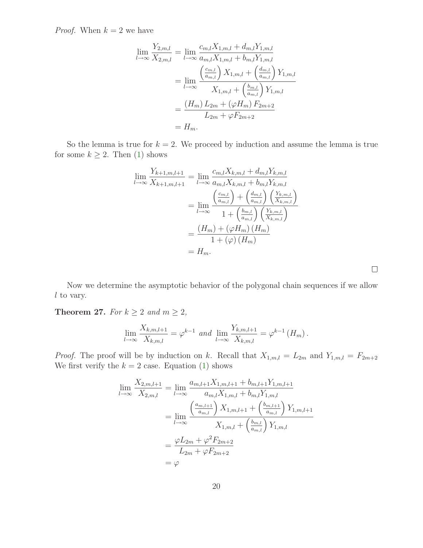*Proof.* When  $k = 2$  we have

$$
\lim_{l \to \infty} \frac{Y_{2,m,l}}{X_{2,m,l}} = \lim_{l \to \infty} \frac{c_{m,l} X_{1,m,l} + d_{m,l} Y_{1,m,l}}{a_{m,l} X_{1,m,l} + b_{m,l} Y_{1,m,l}}
$$

$$
= \lim_{l \to \infty} \frac{\left(\frac{c_{m,l}}{a_{m,l}}\right) X_{1,m,l} + \left(\frac{d_{m,l}}{a_{m,l}}\right) Y_{1,m,l}}{X_{1,m,l} + \left(\frac{b_{m,l}}{a_{m,l}}\right) Y_{1,m,l}}
$$

$$
= \frac{(H_m) L_{2m} + (\varphi H_m) F_{2m+2}}{L_{2m} + \varphi F_{2m+2}}
$$

$$
= H_m.
$$

So the lemma is true for  $k = 2$ . We proceed by induction and assume the lemma is true for some  $k \geq 2$ . Then [\(1\)](#page-11-1) shows

$$
\lim_{l \to \infty} \frac{Y_{k+1,m,l+1}}{X_{k+1,m,l+1}} = \lim_{l \to \infty} \frac{c_{m,l} X_{k,m,l} + d_{m,l} Y_{k,m,l}}{a_{m,l} X_{k,m,l} + b_{m,l} Y_{k,m,l}}
$$
  
= 
$$
\lim_{l \to \infty} \frac{\left(\frac{c_{m,l}}{a_{m,l}}\right) + \left(\frac{d_{m,l}}{a_{m,l}}\right) \left(\frac{Y_{k,m,l}}{X_{k,m,l}}\right)}{1 + \left(\frac{b_{m,l}}{a_{m,l}}\right) \left(\frac{Y_{k,m,l}}{X_{k,m,l}}\right)}
$$
  
= 
$$
\frac{\left(H_m\right) + \left(\varphi H_m\right) \left(H_m\right)}{1 + \left(\varphi\right) \left(H_m\right)}
$$
  
= 
$$
H_m.
$$

 $\Box$ 

Now we determine the asymptotic behavior of the polygonal chain sequences if we allow l to vary.

Theorem 27. For  $k \geq 2$  and  $m \geq 2$ ,

$$
\lim_{l \to \infty} \frac{X_{k,m,l+1}}{X_{k,m,l}} = \varphi^{k-1} \text{ and } \lim_{l \to \infty} \frac{Y_{k,m,l+1}}{X_{k,m,l}} = \varphi^{k-1}(H_m).
$$

*Proof.* The proof will be by induction on k. Recall that  $X_{1,m,l} = L_{2m}$  and  $Y_{1,m,l} = F_{2m+2}$ We first verify the  $k = 2$  case. Equation [\(1\)](#page-11-1) shows

$$
\lim_{l \to \infty} \frac{X_{2,m,l+1}}{X_{2,m,l}} = \lim_{l \to \infty} \frac{a_{m,l+1}X_{1,m,l+1} + b_{m,l+1}Y_{1,m,l+1}}{a_{m,l}X_{1,m,l} + b_{m,l}Y_{1,m,l}}
$$

$$
= \lim_{l \to \infty} \frac{\left(\frac{a_{m,l+1}}{a_{m,l}}\right)X_{1,m,l+1} + \left(\frac{b_{m,l+1}}{a_{m,l}}\right)Y_{1,m,l+1}}{X_{1,m,l} + \left(\frac{b_{m,l}}{a_{m,l}}\right)Y_{1,m,l}}
$$

$$
= \frac{\varphi L_{2m} + \varphi^2 F_{2m+2}}{L_{2m} + \varphi F_{2m+2}}
$$

$$
= \varphi
$$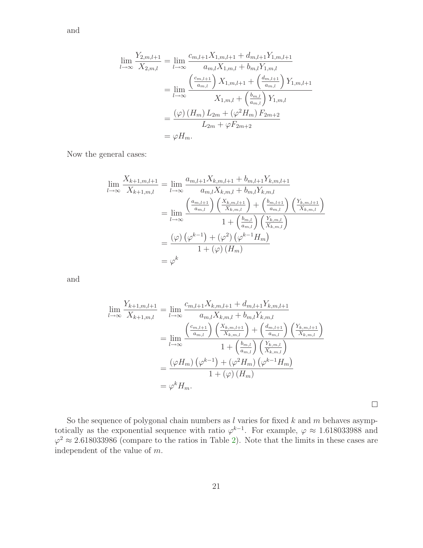and

$$
\lim_{l \to \infty} \frac{Y_{2,m,l+1}}{X_{2,m,l}} = \lim_{l \to \infty} \frac{c_{m,l+1}X_{1,m,l+1} + d_{m,l+1}Y_{1,m,l+1}}{a_{m,l}X_{1,m,l} + b_{m,l}Y_{1,m,l}}
$$

$$
= \lim_{l \to \infty} \frac{\left(\frac{c_{m,l+1}}{a_{m,l}}\right)X_{1,m,l+1} + \left(\frac{d_{m,l+1}}{a_{m,l}}\right)Y_{1,m,l+1}}{X_{1,m,l} + \left(\frac{b_{m,l}}{a_{m,l}}\right)Y_{1,m,l}}
$$

$$
= \frac{(\varphi) \left(H_m\right)L_{2m} + (\varphi^2 H_m) F_{2m+2}}{L_{2m} + \varphi F_{2m+2}}
$$

$$
= \varphi H_m.
$$

Now the general cases:

$$
\lim_{l \to \infty} \frac{X_{k+1,m,l+1}}{X_{k+1,m,l}} = \lim_{l \to \infty} \frac{a_{m,l+1}X_{k,m,l+1} + b_{m,l+1}Y_{k,m,l+1}}{a_{m,l}X_{k,m,l} + b_{m,l}Y_{k,m,l}}
$$
  
\n
$$
= \lim_{l \to \infty} \frac{\left(\frac{a_{m,l+1}}{a_{m,l}}\right)\left(\frac{X_{k,m,l+1}}{X_{k,m,l}}\right) + \left(\frac{b_{m,l+1}}{a_{m,l}}\right)\left(\frac{Y_{k,m,l+1}}{X_{k,m,l}}\right)}{1 + \left(\frac{b_{m,l}}{a_{m,l}}\right)\left(\frac{Y_{k,m,l}}{X_{k,m,l}}\right)}
$$
  
\n
$$
= \frac{(\varphi)\left(\varphi^{k-1}\right) + (\varphi^2)\left(\varphi^{k-1}H_m\right)}{1 + (\varphi)\left(H_m\right)}
$$
  
\n
$$
= \varphi^k
$$

and

$$
\lim_{l \to \infty} \frac{Y_{k+1,m,l+1}}{X_{k+1,m,l}} = \lim_{l \to \infty} \frac{c_{m,l+1} X_{k,m,l+1} + d_{m,l+1} Y_{k,m,l+1}}{a_{m,l} X_{k,m,l} + b_{m,l} Y_{k,m,l}}
$$
  
\n
$$
= \lim_{l \to \infty} \frac{\left(\frac{c_{m,l+1}}{a_{m,l}}\right) \left(\frac{X_{k,m,l+1}}{X_{k,m,l}}\right) + \left(\frac{d_{m,l+1}}{a_{m,l}}\right) \left(\frac{Y_{k,m,l+1}}{X_{k,m,l}}\right)}{1 + \left(\frac{b_{m,l}}{a_{m,l}}\right) \left(\frac{Y_{k,m,l}}{X_{k,m,l}}\right)}
$$
  
\n
$$
= \frac{\left(\varphi H_m\right) \left(\varphi^{k-1}\right) + \left(\varphi^2 H_m\right) \left(\varphi^{k-1} H_m\right)}{1 + \left(\varphi\right) \left(H_m\right)}
$$
  
\n
$$
= \varphi^k H_m.
$$

 $\Box$ 

So the sequence of polygonal chain numbers as  $l$  varies for fixed  $k$  and  $m$  behaves asymptotically as the exponential sequence with ratio  $\varphi^{k-1}$ . For example,  $\varphi \approx 1.618033988$  and  $\varphi^2 \approx 2.618033986$  (compare to the ratios in Table [2\)](#page-12-0). Note that the limits in these cases are independent of the value of m.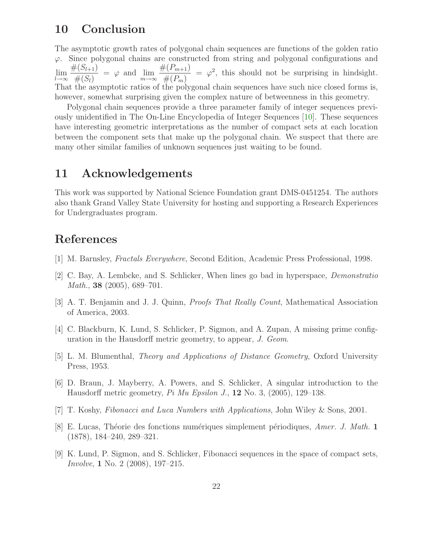## 10 Conclusion

The asymptotic growth rates of polygonal chain sequences are functions of the golden ratio  $\varphi$ . Since polygonal chains are constructed from string and polygonal configurations and lim  $l\rightarrow\infty$  $#(S_{l+1})$  $\frac{(\infty_{l+1})}{\#(S_l)} = \varphi$  and  $\lim_{m \to \infty}$  $#(P_{m+1})$  $#(P_m)$  $=\varphi^2$ , this should not be surprising in hindsight. That the asymptotic ratios of the polygonal chain sequences have such nice closed forms is, however, somewhat surprising given the complex nature of betweenness in this geometry.

Polygonal chain sequences provide a three parameter family of integer sequences previously unidentified in The On-Line Encyclopedia of Integer Sequences [\[10\]](#page-22-0). These sequences have interesting geometric interpretations as the number of compact sets at each location between the component sets that make up the polygonal chain. We suspect that there are many other similar families of unknown sequences just waiting to be found.

### 11 Acknowledgements

This work was supported by National Science Foundation grant DMS-0451254. The authors also thank Grand Valley State University for hosting and supporting a Research Experiences for Undergraduates program.

## <span id="page-21-0"></span>References

- [1] M. Barnsley, Fractals Everywhere, Second Edition, Academic Press Professional, 1998.
- <span id="page-21-6"></span>[2] C. Bay, A. Lembcke, and S. Schlicker, When lines go bad in hyperspace, Demonstratio Math., 38 (2005), 689–701.
- <span id="page-21-3"></span>[3] A. T. Benjamin and J. J. Quinn, Proofs That Really Count, Mathematical Association of America, 2003.
- <span id="page-21-2"></span>[4] C. Blackburn, K. Lund, S. Schlicker, P. Sigmon, and A. Zupan, A missing prime configuration in the Hausdorff metric geometry, to appear, J. Geom.
- <span id="page-21-1"></span>[5] L. M. Blumenthal, Theory and Applications of Distance Geometry, Oxford University Press, 1953.
- [6] D. Braun, J. Mayberry, A. Powers, and S. Schlicker, A singular introduction to the Hausdorff metric geometry,  $Pi$  Mu Epsilon J., 12 No. 3, (2005), 129–138.
- <span id="page-21-7"></span><span id="page-21-5"></span>[7] T. Koshy, Fibonacci and Luca Numbers with Applications, John Wiley & Sons, 2001.
- [8] E. Lucas, Théorie des fonctions numériques simplement périodiques, Amer. J. Math. 1 (1878), 184–240, 289–321.
- <span id="page-21-4"></span>[9] K. Lund, P. Sigmon, and S. Schlicker, Fibonacci sequences in the space of compact sets, Involve, 1 No. 2 (2008), 197–215.